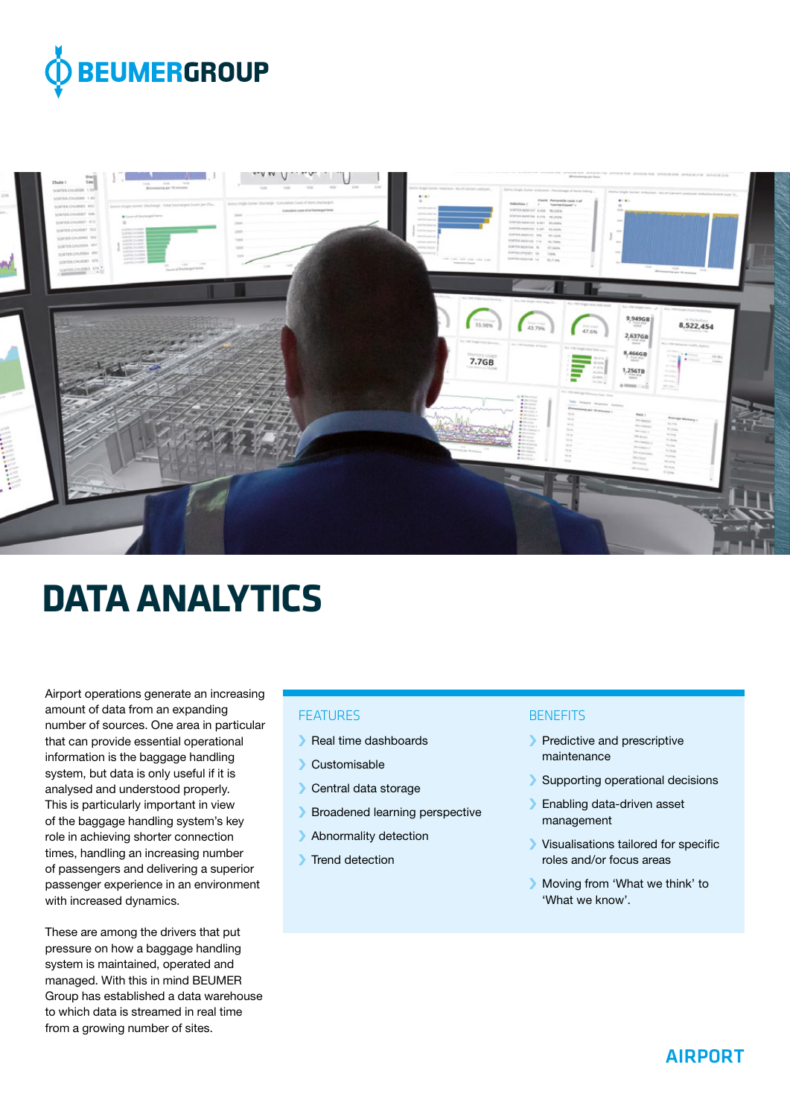



# **DATA ANALYTICS**

Airport operations generate an increasing amount of data from an expanding number of sources. One area in particular that can provide essential operational information is the baggage handling system, but data is only useful if it is analysed and understood properly. This is particularly important in view of the baggage handling system's key role in achieving shorter connection times, handling an increasing number of passengers and delivering a superior passenger experience in an environment with increased dynamics.

These are among the drivers that put pressure on how a baggage handling system is maintained, operated and managed. With this in mind BEUMER Group has established a data warehouse to which data is streamed in real time from a growing number of sites.

## **FFATURES**

- › Real time dashboards
- › Customisable
- › Central data storage
- › Broadened learning perspective
- › Abnormality detection
- **I** Trend detection

#### **BENEFITS**

- › Predictive and prescriptive maintenance
- › Supporting operational decisions
- › Enabling data-driven asset management
- › Visualisations tailored for specific roles and/or focus areas
- › Moving from 'What we think' to 'What we know'.

# AIRPORT